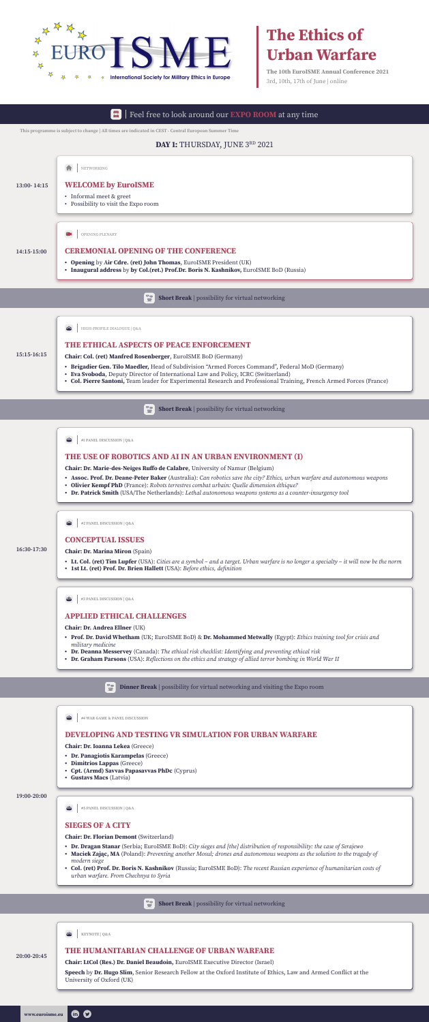



# **The Ethics of Urban Warfare**

**The 10th EuroISME Annual Conference 2021** 3rd, 10th, 17th of June | online

**This programme is subject to change | All times are indicated in CEST - Central European Summer Time**

# **DAY 1: THURSDAY, JUNE 3RD 2021**

**15:15-16:15**

**16:30-17:30**

#### **19:00-20:00**

#### **THE USE OF ROBOTICS AND AI IN AN URBAN ENVIRONMENT (I)**

#### **CONCEPTUAL ISSUES**

#### **APPLIED ETHICAL CHALLENGES**

### **DEVELOPING AND TESTING VR SIMULATION FOR URBAN WARFARE**

# **SIEGES OF A CITY**

#### **THE ETHICAL ASPECTS OF PEACE ENFORCEMENT**

**Chair: Dr. Marie-des-Neiges Ruffo de Calabre**, University of Namur (Belgium)

- **• Assoc. Prof. Dr. Deane-Peter Baker** (Australia): *Can robotics save the city? Ethics, urban warfare and autonomous weapons*
- **• Olivier Kempf PhD** (France): *Robots terrestres combat urbain: Quelle dimension éthique?*
- **• Dr. Patrick Smith** (USA/The Netherlands): *Lethal autonomous weapons systems as a counter-insurgency tool*

**Chair: Dr. Marina Miron** (Spain)

- **• Lt. Col. (ret) Tim Lupfer** (USA): *Cities are a symbol and a target. Urban warfare is no longer a specialty it will now be the norm*
- **• 1st Lt. (ret) Prof. Dr. Brien Hallett** (USA): *Before ethics, definition*

**Chair: Dr. Andrea Ellner** (UK)

#### $\overline{\phantom{a}}$

- **• Prof. Dr. David Whetham** (UK; EuroISME BoD) & **Dr. Mohammed Metwally** (Egypt): *Ethics training tool for crisis and military medicine*
- **• Dr. Deanna Messervey** (Canada): *The ethical risk checklist: Identifying and preventing ethical risk*
- **• Dr. Graham Parsons** (USA): *Reflections on the ethics and strategy of allied terror bombing in World War II*

 $\mathbf{P}$ **Dinner Break** | possibility for virtual networking and visiting the Expo room

#### $\overline{\bullet}$ **Short Break** | possibility for virtual networking

 $\frac{9}{2}$ **#4 WAR GAME & PANEL DISCUSSION**

#### Feel free to look around our **EXPO ROOM** at any time 日

**Chair: Dr. Ioanna Lekea** (Greece)

- **• Dr. Panagiotis Karampelas** (Greece)
- **• Dimitrios Lappas** (Greece)
- **• Cpt. (Armd) Savvas Papasavvas PhDc** (Cyprus)
- **• Gustavs Macs** (Latvia)



**Chair: Dr. Florian Demont** (Switzerland)

- **• Dr. Dragan Stanar** (Serbia; EuroISME BoD): *City sieges and [the] distribution of responsibility: the case of Serajewo*
- **• Maciek Zając, MA** (Poland): *Preventing another Mosul; drones and autonomous weapons as the solution to the tragedy of modern siege*
- **• Col. (ret) Prof. Dr. Boris N. Kashnikov** (Russia; EuroISME BoD): *The recent Russian experience of humanitarian costs of urban warfare. From Chechnya to Syria*



**Chair: Col. (ret) Manfred Rosenberger**, EuroISME BoD (Germany)

- **• Brigadier Gen. Tilo Maedler,** Head of Subdivision "Armed Forces Command", Federal MoD (Germany)
- **• Eva Svoboda**, Deputy Director of International Law and Policy, ICRC (Switzerland)
- **• Col. Pierre Santoni,** Team leader for Experimental Research and Professional Training, French Armed Forces (France)

 $\overline{\phantom{a}}$ 

**#1 PANEL DISCUSSION | Q&A**





HIGH-PROFILE DIALOGUE | Q&A

 $\frac{1}{2}$ 

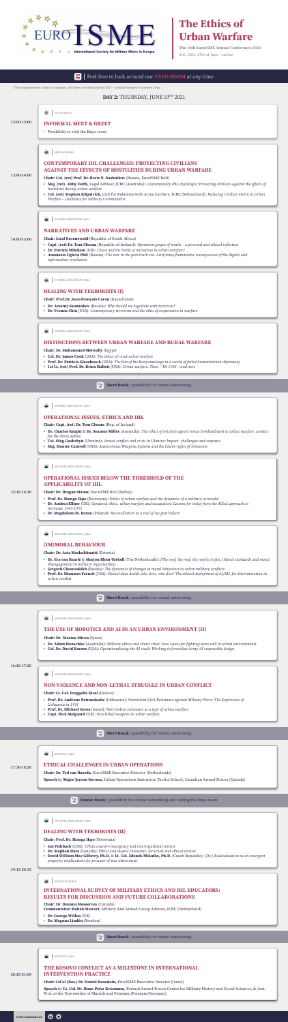O

**fin** 



# **The Ethics of Urban Warfare**

**The 10th EuroISME Annual Conference 2021** 3rd, 10th, 17th of June | online

# **DAY 2:** THURSDAY, JUNE 10TH 2021

 $\mathbf{P}$ **Short Break** | possibility for virtual networking

#### **14:00-15:00**

5 **Short Break** | possibility for virtual networking

**15:10-16:10**

**16:20-17:20**

5 **Short Break** | possibility for virtual networking

#### Feel free to look around our **EXPO ROOM** at any time 日

**19:15-20:15**

#### **17:30-18:20**

# **13:00-14:00**

#### **NARRATIVES AND URBAN WARFARE**

#### **ETHICAL CHALLENGES IN URBAN OPERATIONS**

#### **OPERATIONAL ISSUES, ETHICS AND IHL**

#### **(IM)MORAL BEHAVIOUR**

#### **NON-VIOLENCE AND NON-LETHAL STRUGGLE IN URBAN CONFLICT**

### **DEALING WITH TERRORISTS (II)**

#### **OPERATIONAL ISSUES BELOW THE THRESHOLD OF THE APPLICABILITY OF IHL**

#### **CONTEMPORARY IHL CHALLENGES: PROTECTING CIVILIANS AGAINST THE EFFECTS OF HOSTILITIES DURING URBAN WARFARE**

#### **DEALING WITH TERRORISTS (I)**

**Chair: Dr. Ted van Baarda,** EuroISME Executive Director (Netherlands)

**Speech** by **Major Jayson Geroux,** Urban Operations Instructor, Tactics School, Canadian Armed Forces (Canada)

#### **DISTINCTIONS BETWEEN URBAN WARFARE AND RURAL WARFARE**

- **Chair: Liezl Groenewald** (Republic of South Africa)
- **Capt. (ret) Dr. Tom Clonan** (Republic of Ireland): *Operation grapes of wrath a personal and ethical reflection*
- **Dr. Patrick Mileham** (UK): *Chaos and the battle of narratives in urban warfare?*
- **• Anastasia Ugleva PhD** (Russia): *The war in the post-truth era. Anti(trans)humanistic consequences of the digital and*

*information revolution*

**Chair: Capt. (ret) Dr. Tom Clonan** (Rep. of Ireland)

- **• Dr. Charles Knight** & **Dr. Seamus Miller** (Australia): *The ethics of eviction agents versus bombardment in urban warfare: context for the drone debate*
- **• Col. Oleg Gushchyn** (Ukraine): *Armed conflict and crisis in Ukraine: Impact, challenges and response*
- **• Maj. Hunter Cantrell** (USA): *Autonomous Weapons Systems and the Claim-rights of Innocents*

**Chair: Dr. Asta Maskaliūnaitė** (Estonia)

- **• Dr. Eva van Baarle** & **Marjon Blom-Terhell** (The Netherlands): *[The roof, the roof, the roof is on fire.] Moral standards and moral disengagement in military organisations*
- **• Grigorii Chasovskikh** (Russia): *The dynamics of changes in moral behaviour in urban military conflicts*
- **• Prof. Dr. Shannon French** (USA): *Should data decide who lives, who dies? The ethical deployment of AI/ML for discrimination in urban combat*

#### **THE USE OF ROBOTICS AND AI IN AN URBAN ENVIRONMENT (II)**

**Chair: Dr. Marina Miron** (Spain)

- **• Dr. Adam Henschke** (Australia): *Military ethics and smart cities: New issues for fighting wars well in urban environments*
- **• Col. Dr. David Barnes** (USA): *Operationalizing the AI stack: Working to formalize Army AI responsible design*

**#6 PANEL DISCUSSION | Q&A**  $\frac{1}{2}$ 

**Contract Contract Contract Contract #9 PANEL DISCUSSION | Q&A**

坐 **#11 PANEL DISCUSSION | Q&A**

 $\frac{1}{2}$ **#13 PANEL DISCUSSION | Q&A**

兴 **#14 PANEL DISCUSSION | Q&A**

譽 **#10 PANEL DISCUSSION | Q&A**

**Chair: Lt. Col. Evaggelia Kiosi** (Greece)

 $\frac{1}{2}$ **#15 ROUNDTABLE**

答 **#7 PANEL DISCUSSION | Q&A**

 $\frac{1}{2}$ **#8 PANEL DISCUSSION | Q&A**

> 72 **Short Break** | possibility for virtual networking

- **• Prof. Dr. Audrone Petrauskaite** (Lithuania): *Nonviolent Civil Resistance against Military Force: The Experience of Lithuania in 1991*
- **• Prof. Dr. Michael Gross** (Israel): *Non-violent resistance as a type of urban warfare*
- **• Capt. Nick Melgaard** (UK): *Non-lethal weapons in urban warfare*

77 **Dinner Break** | possibility for virtual networking and visiting the Expo room

**Chair: Prof. Dr. Ibanga Ikpe** (Botswana)

- **• Ian Fishback** (USA): *Urban counter-insurgency and interrogational torture*
- **• Dr. Stephen Hare** (Canada): *Ethics and means: innocents, terrorists and ethical torture*
- **• David William Mac Gillavry, Ph.D.** & **Lt. Col. Zdeněk Mikulka, Ph.D.** (Czech Republic): *(De-) Radicalisation as an emergent property; implications for prisoner of war internment*

**Chair: Dr. Dragan Stanar,** EuroISME BoD (Serbia)

- **• Prof. Dr. Ibanga Ikpe** (Botswana): *Ethics of urban warfare and the dynamics of a military surrender*
- **• Dr. Andrea Ellner** (UK): *Gendered ethics, urban warfare and occupation. Lessons for today from the Allied approach to Germany 1945-1955*
- **• Dr. Magdalena M. Baran** (Poland): *Reconciliation as a tool of ius post bellum*

# **INTERNATIONAL SURVEY OF MILITARY ETHICS AND IHL EDUCATORS: RESULTS FOR DISCUSSION AND FUTURE COLLABORATIONS**

**Chair: Dr. Deanna Messervey** (Canada) **Commentator: Ruben Stewart**, Military And Armed Group Advisor, ICRC (Switzerland)



- **Dr. George Wilkes** (UK)
- **• Dr. Magnus Lindén** (Sweden)

**Chair: Col. (ret) Prof. Dr. Boris N. Kashnikov** (Russia, EuroISME BoD)

- **• Maj. (ret). Abby Zeith,** Legal Advisor, ICRC (Australia): *Contemporary IHL challenges: Protecting civilians against the effects of hostilities during urban warfare*
- **• Col. (ret) Stephen Kilpatrick,** Unit for Relations with Arms Carriers, ICRC (Switzerland): *Reducing Civilian Harm in Urban Warfare – Guidance for Military Commanders*

**Chair: Prof.Dr. Jean-François Caron** (Kazachstan)

- **• Dr. Arseniy Kumankov** (Russia): *Why should we negotiate with terrorists?*
- **• Dr. Yvonne Chiu** (USA): *Contemporary terrorism and the ethic of cooperation in warfare*

**Chair: Dr. Mohammed Metwally** (Egypt)

- **• Col. Dr. James Cook** (USA): *The ethics of rural-urban warfare*
- **• Prof. Dr. Patricia Glazebrook** (USA): *The fate of the Banyamulenge in a world of failed humanitarian diplomacy*
- **• 1st Lt. (ret) Prof. Dr. Brien Hallett** (USA): *Urban warfare: Then Tét 1968 and now*

**KEYNOTE | Q&A**





**SPECIAL PANEL**

**This programme is subject to change | All times are indicated in CEST - Central European Summer Time**

# **12:00-13:00 INFORMAL MEET & GREET**

• Possibility to visit the Expo room

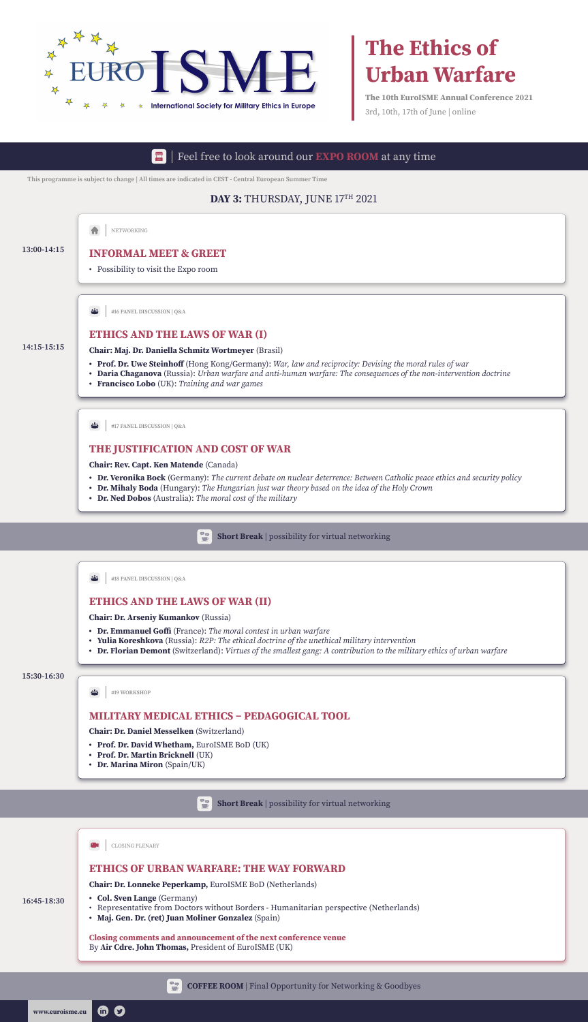



# **The Ethics of Urban Warfare**

**The 10th EuroISME Annual Conference 2021** 3rd, 10th, 17th of June | online

# **DAY 3:** THURSDAY, JUNE 17TH 2021

#### **15:30-16:30**

**16:45-18:30**

#### **ETHICS OF URBAN WARFARE: THE WAY FORWARD**

**Chair: Dr. Lonneke Peperkamp,** EuroISME BoD (Netherlands)

**• Col. Sven Lange** (Germany)

 $\bullet$ 

 $\mathbf{m}$ 

#### Feel free to look around our **EXPO ROOM** at any time 日

- Representative from Doctors without Borders Humanitarian perspective (Netherlands)
- **• Maj. Gen. Dr. (ret) Juan Moliner Gonzalez** (Spain)

**Closing comments and announcement of the next conference venue**  By **Air Cdre. John Thomas,** President of EuroISME (UK)







**COFFEE ROOM** | Final Opportunity for Networking & Goodbyes

#### CLOSING PLENARY

#### **ETHICS AND THE LAWS OF WAR (II)**

# **MILITARY MEDICAL ETHICS – PEDAGOGICAL TOOL**

#### **THE JUSTIFICATION AND COST OF WAR**

 $\rightarrow$ **#19 WORKSHOP**



**Chair: Dr. Arseniy Kumankov** (Russia)

- **• Dr. Emmanuel Goffi** (France): *The moral contest in urban warfare*
- **• Yulia Koreshkova** (Russia): *R2P: The ethical doctrine of the unethical military intervention*
- **• Dr. Florian Demont** (Switzerland): *Virtues of the smallest gang: A contribution to the military ethics of urban warfare*

**Chair: Dr. Daniel Messelken** (Switzerland)

- **• Prof. Dr. David Whetham,** EuroISME BoD (UK)
- **• Prof. Dr. Martin Bricknell** (UK)
- **• Dr. Marina Miron** (Spain/UK)



**Chair: Rev. Capt. Ken Matende** (Canada)

- **• Dr. Veronika Bock** (Germany): *The current debate on nuclear deterrence: Between Catholic peace ethics and security policy*
- **• Dr. Mihaly Boda** (Hungary): *The Hungarian just war theory based on the idea of the Holy Crown*
- **• Dr. Ned Dobos** (Australia): *The moral cost of the military*





**This programme is subject to change | All times are indicated in CEST - Central European Summer Time**